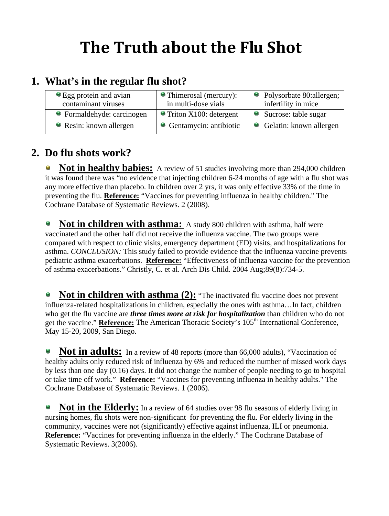# **The Truth about the Flu Shot**

## **1. What's in the regular flu shot?**

| • Egg protein and avian    | • Thimerosal (mercury):          | • Polysorbate 80:allergen; |
|----------------------------|----------------------------------|----------------------------|
| contaminant viruses        | in multi-dose vials              | infertility in mice        |
| • Formaldehyde: carcinogen | $\bullet$ Triton X100: detergent | • Sucrose: table sugar     |
| Resin: known allergen      | • Gentamycin: antibiotic         | • Gelatin: known allergen  |

#### **2. Do flu shots work?**

**Not in healthy babies:** A review of 51 studies involving more than 294,000 children ٥ it was found there was "no evidence that injecting children 6-24 months of age with a flu shot was any more effective than placebo. In children over 2 yrs, it was only effective 33% of the time in preventing the flu. **Reference:** "Vaccines for preventing influenza in healthy children." The Cochrane Database of Systematic Reviews. 2 (2008).

**C Not in children with asthma:** A study 800 children with asthma, half were vaccinated and the other half did not receive the influenza vaccine. The two groups were compared with respect to clinic visits, emergency department (ED) visits, and hospitalizations for asthma. *CONCLUSION:* This study failed to provide evidence that the influenza vaccine prevents pediatric asthma exacerbations. **Reference:** "Effectiveness of influenza vaccine for the prevention of asthma exacerbations." Christly, C. et al. Arch Dis Child. 2004 Aug;89(8):734-5.

**Not in children with asthma (2):** "The inactivated flu vaccine does not prevent e. influenza-related hospitalizations in children, especially the ones with asthma…In fact, children who get the flu vaccine are *three times more at risk for hospitalization* than children who do not get the vaccine." **Reference:** The American Thoracic Society's 105<sup>th</sup> International Conference, May 15-20, 2009, San Diego.

Not in adults: In a review of 48 reports (more than 66,000 adults), "Vaccination of healthy adults only reduced risk of influenza by 6% and reduced the number of missed work days by less than one day (0.16) days. It did not change the number of people needing to go to hospital or take time off work." **Reference:** "Vaccines for preventing influenza in healthy adults." The Cochrane Database of Systematic Reviews. 1 (2006).

**Not in the Elderly:** In a review of 64 studies over 98 flu seasons of elderly living in nursing homes, flu shots were non-significant for preventing the flu. For elderly living in the community, vaccines were not (significantly) effective against influenza, ILI or pneumonia. **Reference:** "Vaccines for preventing influenza in the elderly." The Cochrane Database of Systematic Reviews. 3(2006).